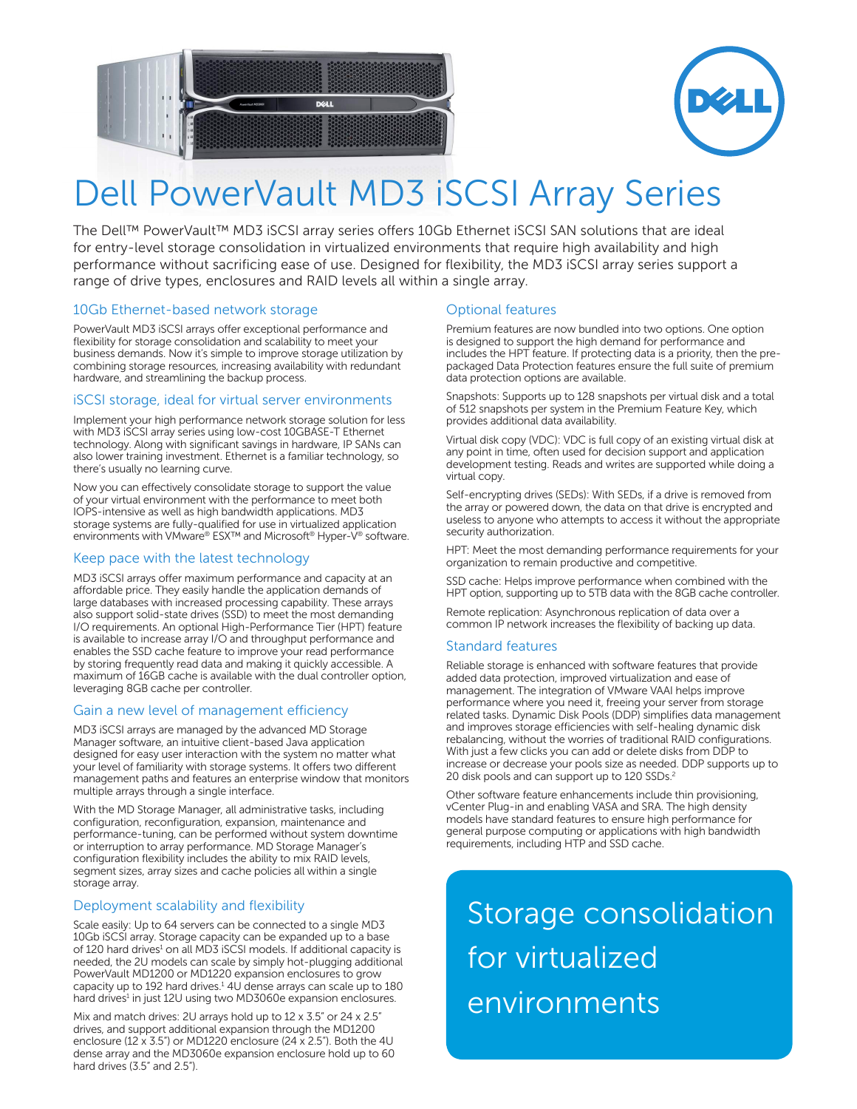



# Dell PowerVault MD3 iSCSI Array Series

The Dell™ PowerVault™ MD3 iSCSI array series offers 10Gb Ethernet iSCSI SAN solutions that are ideal for entry-level storage consolidation in virtualized environments that require high availability and high performance without sacrificing ease of use. Designed for flexibility, the MD3 iSCSI array series support a range of drive types, enclosures and RAID levels all within a single array.

# 10Gb Ethernet-based network storage

PowerVault MD3 iSCSI arrays offer exceptional performance and flexibility for storage consolidation and scalability to meet your business demands. Now it's simple to improve storage utilization by combining storage resources, increasing availability with redundant hardware, and streamlining the backup process.

### iSCSI storage, ideal for virtual server environments

Implement your high performance network storage solution for less with MD3 iSCSI array series using low-cost 10GBASE-T Ethernet technology. Along with significant savings in hardware, IP SANs can also lower training investment. Ethernet is a familiar technology, so there's usually no learning curve.

Now you can effectively consolidate storage to support the value of your virtual environment with the performance to meet both IOPS-intensive as well as high bandwidth applications. MD3 storage systems are fully-qualified for use in virtualized application environments with VMware® ESX™ and Microsoft® Hyper-V® software.

### Keep pace with the latest technology

MD3 iSCSI arrays offer maximum performance and capacity at an affordable price. They easily handle the application demands of large databases with increased processing capability. These arrays also support solid-state drives (SSD) to meet the most demanding I/O requirements. An optional High-Performance Tier (HPT) feature is available to increase array I/O and throughput performance and enables the SSD cache feature to improve your read performance by storing frequently read data and making it quickly accessible. A maximum of 16GB cache is available with the dual controller option, leveraging 8GB cache per controller.

### Gain a new level of management efficiency

MD3 iSCSI arrays are managed by the advanced MD Storage Manager software, an intuitive client-based Java application designed for easy user interaction with the system no matter what your level of familiarity with storage systems. It offers two different management paths and features an enterprise window that monitors multiple arrays through a single interface.

With the MD Storage Manager, all administrative tasks, including configuration, reconfiguration, expansion, maintenance and performance-tuning, can be performed without system downtime or interruption to array performance. MD Storage Manager's configuration flexibility includes the ability to mix RAID levels, segment sizes, array sizes and cache policies all within a single storage array.

# Deployment scalability and flexibility

Scale easily: Up to 64 servers can be connected to a single MD3 10Gb iSCSI array. Storage capacity can be expanded up to a base of 120 hard drives<sup>1</sup> on all MD3 iSCSI models. If additional capacity is needed, the 2U models can scale by simply hot-plugging additional PowerVault MD1200 or MD1220 expansion enclosures to grow capacity up to 192 hard drives.<sup>1</sup> 4U dense arrays can scale up to 180 hard drives<sup>1</sup> in just 12U using two MD3060e expansion enclosures.

Mix and match drives: 2U arrays hold up to 12 x 3.5" or 24 x 2.5" drives, and support additional expansion through the MD1200 enclosure (12 x 3.5") or MD1220 enclosure (24 x 2.5"). Both the 4U dense array and the MD3060e expansion enclosure hold up to 60 hard drives (3.5" and 2.5").

# Optional features

Premium features are now bundled into two options. One option is designed to support the high demand for performance and includes the HPT feature. If protecting data is a priority, then the prepackaged Data Protection features ensure the full suite of premium data protection options are available.

Snapshots: Supports up to 128 snapshots per virtual disk and a total of 512 snapshots per system in the Premium Feature Key, which provides additional data availability.

Virtual disk copy (VDC): VDC is full copy of an existing virtual disk at any point in time, often used for decision support and application development testing. Reads and writes are supported while doing a virtual copy.

Self-encrypting drives (SEDs): With SEDs, if a drive is removed from the array or powered down, the data on that drive is encrypted and useless to anyone who attempts to access it without the appropriate security authorization.

HPT: Meet the most demanding performance requirements for your organization to remain productive and competitive.

SSD cache: Helps improve performance when combined with the HPT option, supporting up to 5TB data with the 8GB cache controller.

Remote replication: Asynchronous replication of data over a common IP network increases the flexibility of backing up data.

### Standard features

Reliable storage is enhanced with software features that provide added data protection, improved virtualization and ease of management. The integration of VMware VAAI helps improve performance where you need it, freeing your server from storage related tasks. Dynamic Disk Pools (DDP) simplifies data management and improves storage efficiencies with self-healing dynamic disk rebalancing, without the worries of traditional RAID configurations. With just a few clicks you can add or delete disks from DDP to increase or decrease your pools size as needed. DDP supports up to 20 disk pools and can support up to 120 SSDs.2

Other software feature enhancements include thin provisioning, vCenter Plug-in and enabling VASA and SRA. The high density models have standard features to ensure high performance for general purpose computing or applications with high bandwidth requirements, including HTP and SSD cache.

# Storage consolidation for virtualized environments